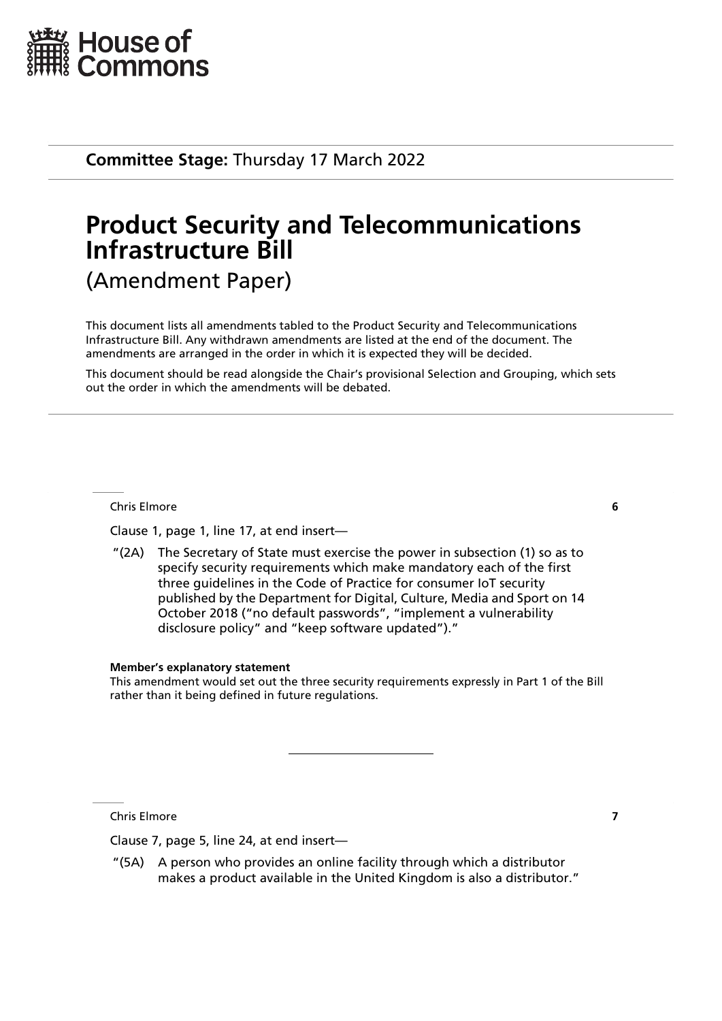

**Committee Stage:** Thursday 17 March 2022

# **Product Security and Telecommunications Infrastructure Bill** (Amendment Paper)

This document lists all amendments tabled to the Product Security and Telecommunications Infrastructure Bill. Any withdrawn amendments are listed at the end of the document. The amendments are arranged in the order in which it is expected they will be decided.

This document should be read alongside the Chair's provisional Selection and Grouping, which sets out the order in which the amendments will be debated.

Chris Elmore **6**

Clause 1, page 1, line 17, at end insert—

"(2A) The Secretary of State must exercise the power in subsection (1) so as to specify security requirements which make mandatory each of the first three guidelines in the Code of Practice for consumer IoT security published by the Department for Digital, Culture, Media and Sport on 14 October 2018 ("no default passwords", "implement a vulnerability disclosure policy" and "keep software updated")."

#### **Member's explanatory statement**

This amendment would set out the three security requirements expressly in Part 1 of the Bill rather than it being defined in future regulations.

Chris Elmore **7**

Clause 7, page 5, line 24, at end insert—

"(5A) A person who provides an online facility through which a distributor makes a product available in the United Kingdom is also a distributor."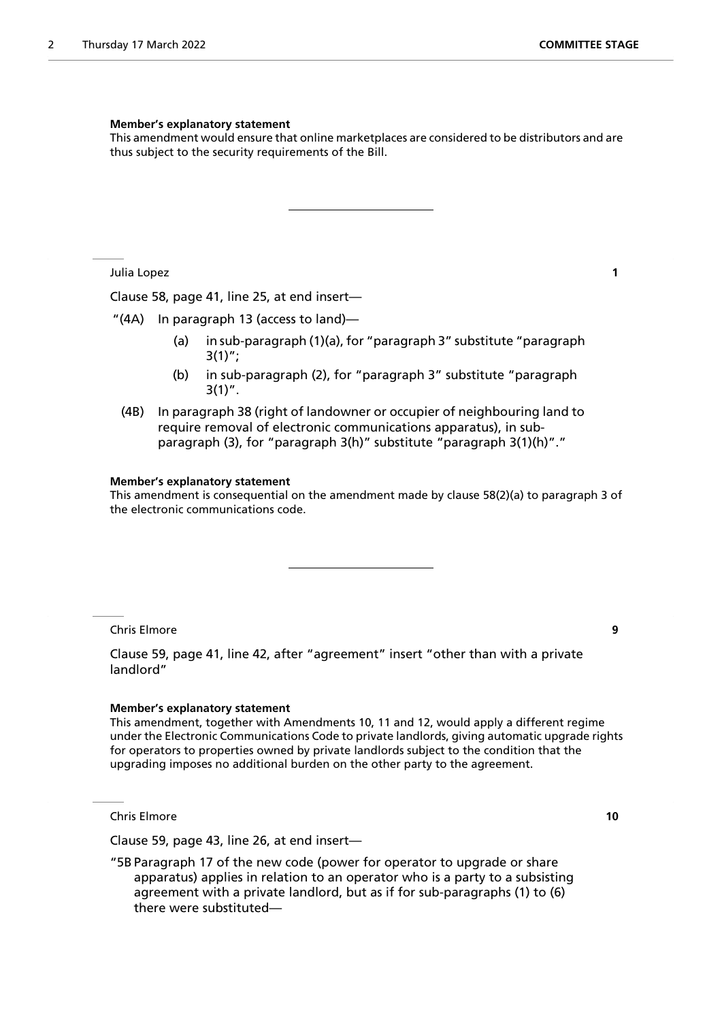#### **Member's explanatory statement**

This amendment would ensure that online marketplaces are considered to be distributors and are thus subject to the security requirements of the Bill.

Julia Lopez **1**

Clause 58, page 41, line 25, at end insert—

"(4A) In paragraph 13 (access to land)—

- (a) in sub-paragraph (1)(a), for "paragraph 3" substitute "paragraph  $3(1)$ ";
- (b) in sub-paragraph (2), for "paragraph 3" substitute "paragraph  $3(1)$ ".
- (4B) In paragraph 38 (right of landowner or occupier of neighbouring land to require removal of electronic communications apparatus), in subparagraph (3), for "paragraph 3(h)" substitute "paragraph 3(1)(h)"."

#### **Member's explanatory statement**

This amendment is consequential on the amendment made by clause 58(2)(a) to paragraph 3 of the electronic communications code.

Chris Elmore **9**

Clause 59, page 41, line 42, after "agreement" insert "other than with a private landlord"

#### **Member's explanatory statement**

This amendment, together with Amendments 10, 11 and 12, would apply a different regime under the Electronic Communications Code to private landlords, giving automatic upgrade rights for operators to properties owned by private landlords subject to the condition that the upgrading imposes no additional burden on the other party to the agreement.

Chris Elmore **10**

Clause 59, page 43, line 26, at end insert—

"5B Paragraph 17 of the new code (power for operator to upgrade or share apparatus) applies in relation to an operator who is a party to a subsisting agreement with a private landlord, but as if for sub-paragraphs (1) to (6) there were substituted—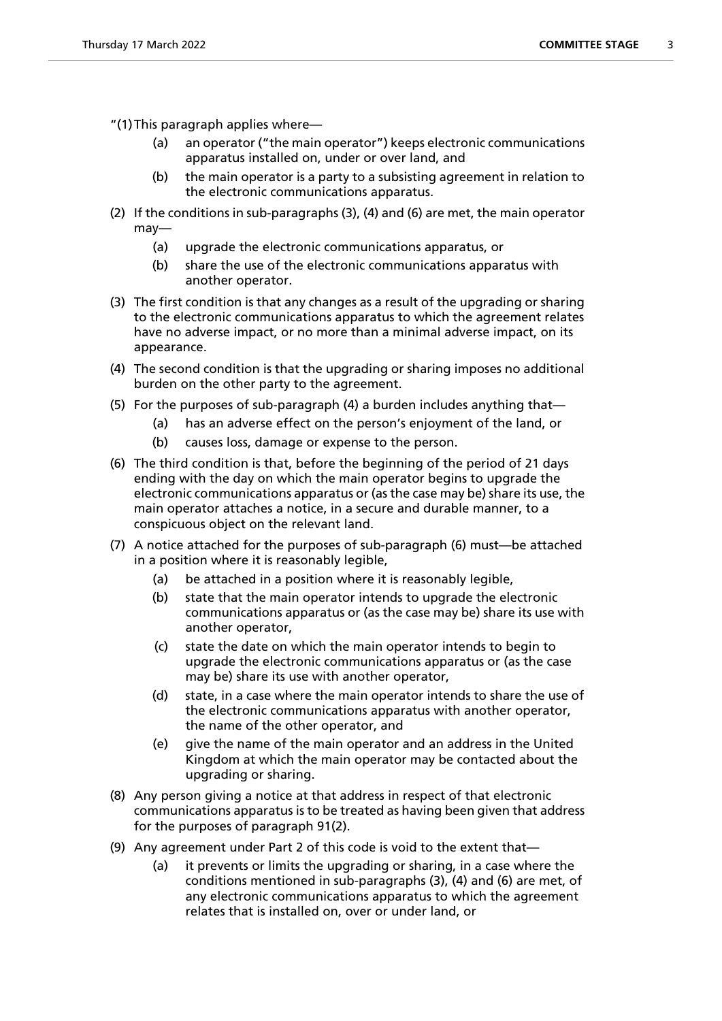- "(1)This paragraph applies where—
	- (a) an operator ("the main operator") keeps electronic communications apparatus installed on, under or over land, and
	- (b) the main operator is a party to a subsisting agreement in relation to the electronic communications apparatus.
- (2) If the conditions in sub-paragraphs (3), (4) and (6) are met, the main operator may—
	- (a) upgrade the electronic communications apparatus, or
	- (b) share the use of the electronic communications apparatus with another operator.
- (3) The first condition is that any changes as a result of the upgrading or sharing to the electronic communications apparatus to which the agreement relates have no adverse impact, or no more than a minimal adverse impact, on its appearance.
- (4) The second condition is that the upgrading or sharing imposes no additional burden on the other party to the agreement.
- (5) For the purposes of sub-paragraph (4) a burden includes anything that—
	- (a) has an adverse effect on the person's enjoyment of the land, or
	- (b) causes loss, damage or expense to the person.
- (6) The third condition is that, before the beginning of the period of 21 days ending with the day on which the main operator begins to upgrade the electronic communications apparatus or (as the case may be) share its use, the main operator attaches a notice, in a secure and durable manner, to a conspicuous object on the relevant land.
- (7) A notice attached for the purposes of sub-paragraph (6) must—be attached in a position where it is reasonably legible,
	- (a) be attached in a position where it is reasonably legible,
	- (b) state that the main operator intends to upgrade the electronic communications apparatus or (as the case may be) share its use with another operator,
	- (c) state the date on which the main operator intends to begin to upgrade the electronic communications apparatus or (as the case may be) share its use with another operator,
	- (d) state, in a case where the main operator intends to share the use of the electronic communications apparatus with another operator, the name of the other operator, and
	- (e) give the name of the main operator and an address in the United Kingdom at which the main operator may be contacted about the upgrading or sharing.
- (8) Any person giving a notice at that address in respect of that electronic communications apparatus is to be treated as having been given that address for the purposes of paragraph 91(2).
- (9) Any agreement under Part 2 of this code is void to the extent that—
	- (a) it prevents or limits the upgrading or sharing, in a case where the conditions mentioned in sub-paragraphs (3), (4) and (6) are met, of any electronic communications apparatus to which the agreement relates that is installed on, over or under land, or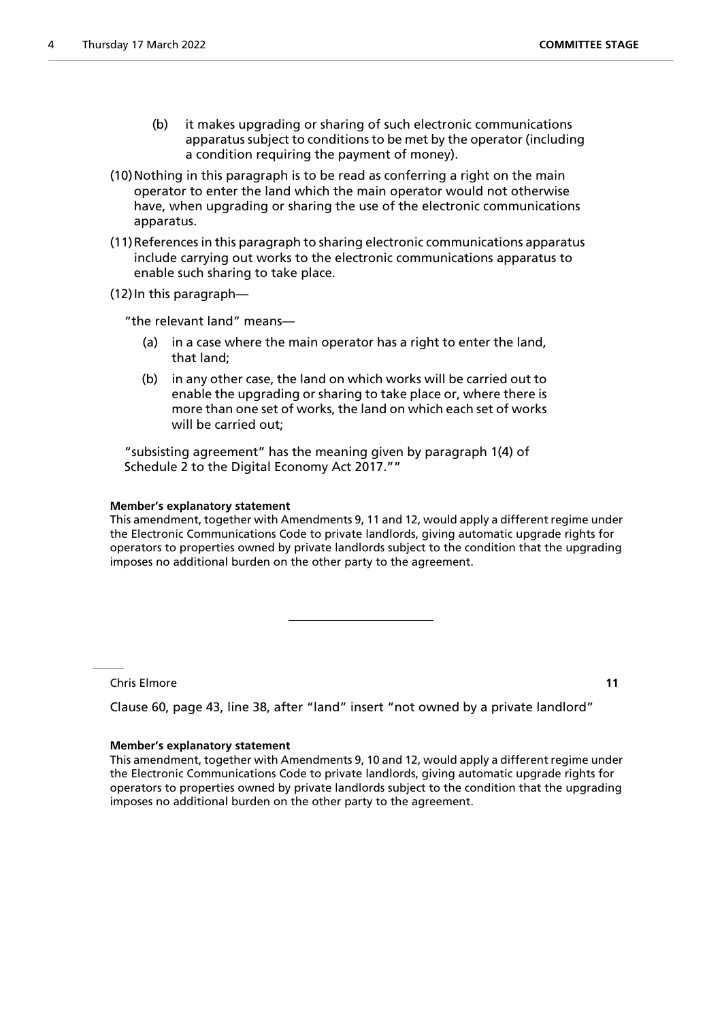- (b) it makes upgrading or sharing of such electronic communications apparatus subject to conditions to be met by the operator (including a condition requiring the payment of money).
- (10)Nothing in this paragraph is to be read as conferring a right on the main operator to enter the land which the main operator would not otherwise have, when upgrading or sharing the use of the electronic communications apparatus.
- (11)References in this paragraph to sharing electronic communications apparatus include carrying out works to the electronic communications apparatus to enable such sharing to take place.

(12)In this paragraph—

"the relevant land" means—

- (a) in a case where the main operator has a right to enter the land, that land;
- (b) in any other case, the land on which works will be carried out to enable the upgrading or sharing to take place or, where there is more than one set of works, the land on which each set of works will be carried out;

"subsisting agreement" has the meaning given by paragraph 1(4) of Schedule 2 to the Digital Economy Act 2017.""

#### **Member's explanatory statement**

This amendment, together with Amendments 9, 11 and 12, would apply a different regime under the Electronic Communications Code to private landlords, giving automatic upgrade rights for operators to properties owned by private landlords subject to the condition that the upgrading imposes no additional burden on the other party to the agreement.

Chris Elmore **11**

Clause 60, page 43, line 38, after "land" insert "not owned by a private landlord"

#### **Member's explanatory statement**

This amendment, together with Amendments 9, 10 and 12, would apply a different regime under the Electronic Communications Code to private landlords, giving automatic upgrade rights for operators to properties owned by private landlords subject to the condition that the upgrading imposes no additional burden on the other party to the agreement.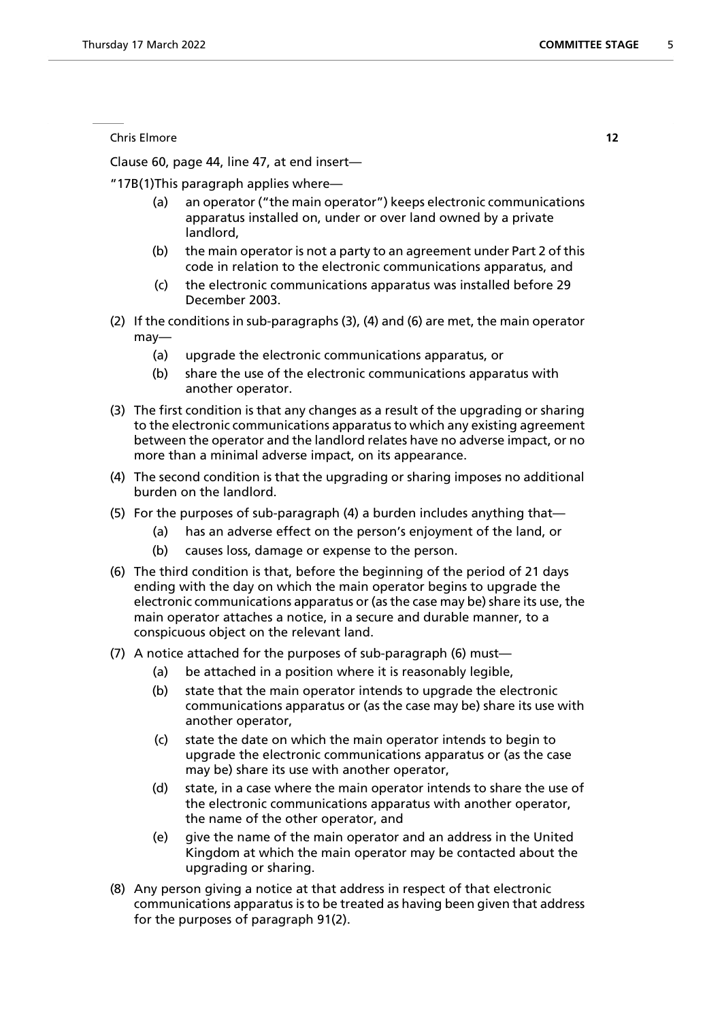Chris Elmore **12**

Clause 60, page 44, line 47, at end insert—

"17B(1)This paragraph applies where—

- (a) an operator ("the main operator") keeps electronic communications apparatus installed on, under or over land owned by a private landlord,
- (b) the main operator is not a party to an agreement under Part 2 of this code in relation to the electronic communications apparatus, and
- (c) the electronic communications apparatus was installed before 29 December 2003.
- (2) If the conditions in sub-paragraphs (3), (4) and (6) are met, the main operator may—
	- (a) upgrade the electronic communications apparatus, or
	- (b) share the use of the electronic communications apparatus with another operator.
- (3) The first condition is that any changes as a result of the upgrading or sharing to the electronic communications apparatus to which any existing agreement between the operator and the landlord relates have no adverse impact, or no more than a minimal adverse impact, on its appearance.
- (4) The second condition is that the upgrading or sharing imposes no additional burden on the landlord.
- (5) For the purposes of sub-paragraph (4) a burden includes anything that—
	- (a) has an adverse effect on the person's enjoyment of the land, or
	- (b) causes loss, damage or expense to the person.
- (6) The third condition is that, before the beginning of the period of 21 days ending with the day on which the main operator begins to upgrade the electronic communications apparatus or (as the case may be) share its use, the main operator attaches a notice, in a secure and durable manner, to a conspicuous object on the relevant land.
- (7) A notice attached for the purposes of sub-paragraph (6) must—
	- (a) be attached in a position where it is reasonably legible,
	- (b) state that the main operator intends to upgrade the electronic communications apparatus or (as the case may be) share its use with another operator,
	- (c) state the date on which the main operator intends to begin to upgrade the electronic communications apparatus or (as the case may be) share its use with another operator,
	- (d) state, in a case where the main operator intends to share the use of the electronic communications apparatus with another operator, the name of the other operator, and
	- (e) give the name of the main operator and an address in the United Kingdom at which the main operator may be contacted about the upgrading or sharing.
- (8) Any person giving a notice at that address in respect of that electronic communications apparatus is to be treated as having been given that address for the purposes of paragraph 91(2).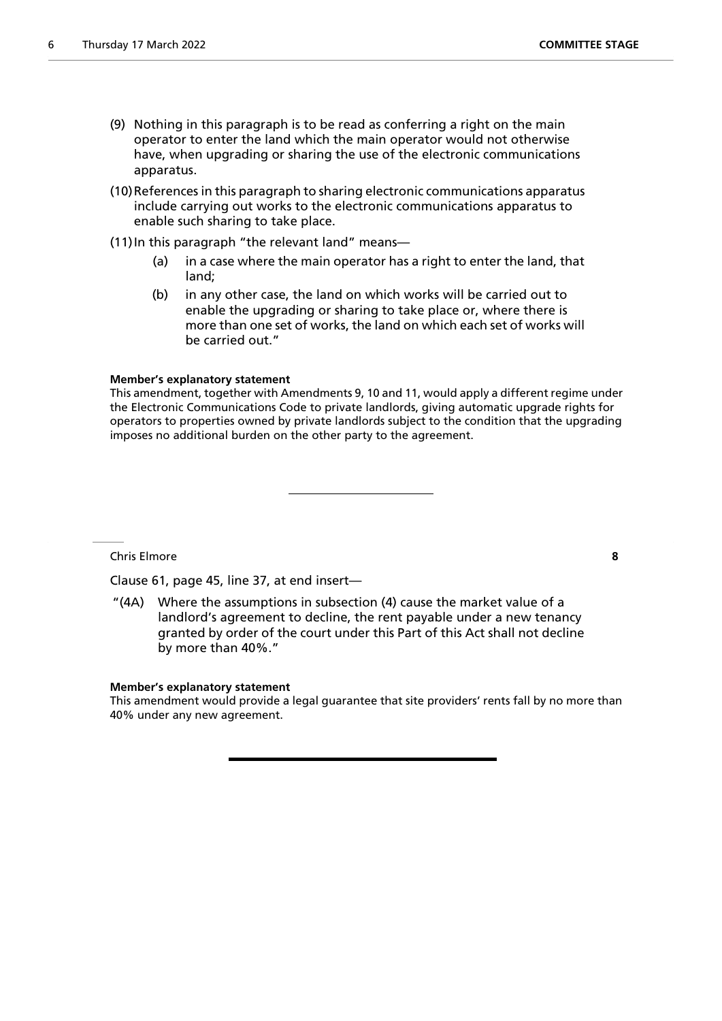- (9) Nothing in this paragraph is to be read as conferring a right on the main operator to enter the land which the main operator would not otherwise have, when upgrading or sharing the use of the electronic communications apparatus.
- (10)References in this paragraph to sharing electronic communications apparatus include carrying out works to the electronic communications apparatus to enable such sharing to take place.
- (11) In this paragraph "the relevant land" means—
	- (a) in a case where the main operator has a right to enter the land, that land;
	- (b) in any other case, the land on which works will be carried out to enable the upgrading or sharing to take place or, where there is more than one set of works, the land on which each set of works will be carried out."

#### **Member's explanatory statement**

This amendment, together with Amendments 9, 10 and 11, would apply a different regime under the Electronic Communications Code to private landlords, giving automatic upgrade rights for operators to properties owned by private landlords subject to the condition that the upgrading imposes no additional burden on the other party to the agreement.

Chris Elmore **8**

Clause 61, page 45, line 37, at end insert—

"(4A) Where the assumptions in subsection (4) cause the market value of a landlord's agreement to decline, the rent payable under a new tenancy granted by order of the court under this Part of this Act shall not decline by more than 40%."

#### **Member's explanatory statement**

This amendment would provide a legal guarantee that site providers' rents fall by no more than 40% under any new agreement.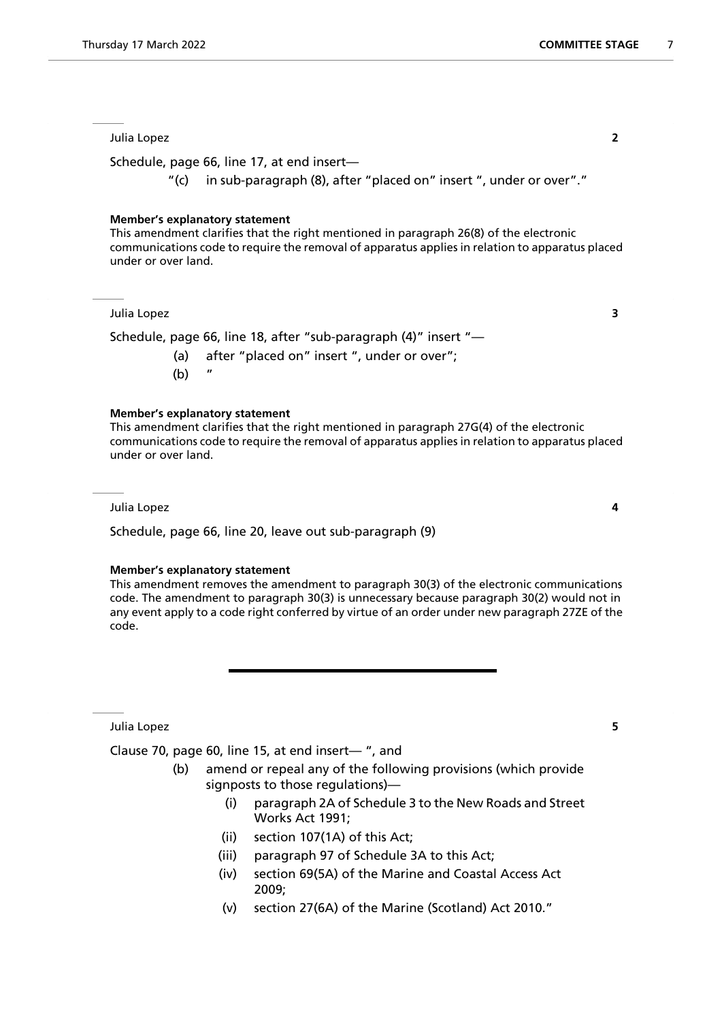#### Julia Lopez **2**

Schedule, page 66, line 17, at end insert—

"(c) in sub-paragraph (8), after "placed on" insert ", under or over"."

#### **Member's explanatory statement**

This amendment clarifies that the right mentioned in paragraph 26(8) of the electronic communications code to require the removal of apparatus applies in relation to apparatus placed under or over land.

Julia Lopez **3**

Schedule, page 66, line 18, after "sub-paragraph (4)" insert "—

(a) after "placed on" insert ", under or over";  $(b)$ 

#### **Member's explanatory statement**

This amendment clarifies that the right mentioned in paragraph 27G(4) of the electronic communications code to require the removal of apparatus applies in relation to apparatus placed under or over land.

Julia Lopez **4**

Schedule, page 66, line 20, leave out sub-paragraph (9)

#### **Member's explanatory statement**

This amendment removes the amendment to paragraph 30(3) of the electronic communications code. The amendment to paragraph 30(3) is unnecessary because paragraph 30(2) would not in any event apply to a code right conferred by virtue of an order under new paragraph 27ZE of the code.

Julia Lopez **5**

Clause 70, page 60, line 15, at end insert— ", and

- (b) amend or repeal any of the following provisions (which provide signposts to those regulations)—
	- (i) paragraph 2A of Schedule 3 to the New Roads and Street Works Act 1991;
	- (ii) section 107(1A) of this Act;
	- (iii) paragraph 97 of Schedule 3A to this Act;
	- (iv) section 69(5A) of the Marine and Coastal Access Act 2009;
	- (v) section 27(6A) of the Marine (Scotland) Act 2010."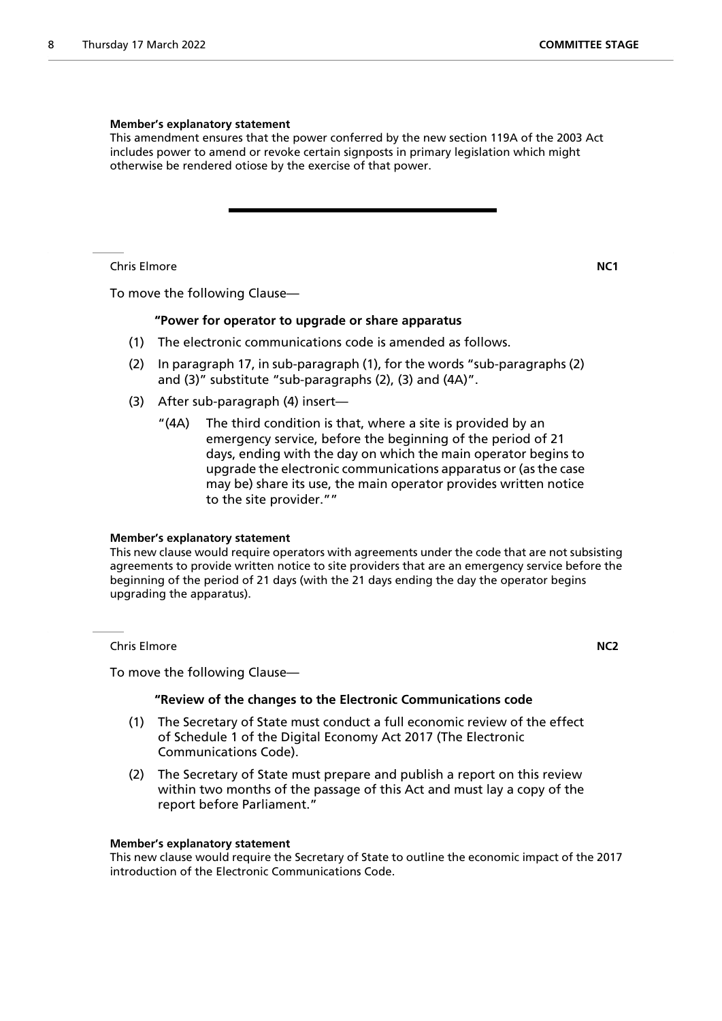#### **Member's explanatory statement**

This amendment ensures that the power conferred by the new section 119A of the 2003 Act includes power to amend or revoke certain signposts in primary legislation which might otherwise be rendered otiose by the exercise of that power.

Chris Elmore **NC1**

To move the following Clause—

#### **"Power for operator to upgrade or share apparatus**

- (1) The electronic communications code is amended as follows.
- (2) In paragraph 17, in sub-paragraph (1), for the words "sub-paragraphs (2) and (3)" substitute "sub-paragraphs (2), (3) and (4A)".
- (3) After sub-paragraph (4) insert—
	- "(4A) The third condition is that, where a site is provided by an emergency service, before the beginning of the period of 21 days, ending with the day on which the main operator begins to upgrade the electronic communications apparatus or (as the case may be) share its use, the main operator provides written notice to the site provider.""

#### **Member's explanatory statement**

This new clause would require operators with agreements under the code that are not subsisting agreements to provide written notice to site providers that are an emergency service before the beginning of the period of 21 days (with the 21 days ending the day the operator begins upgrading the apparatus).

Chris Elmore **NC2**

To move the following Clause—

#### **"Review of the changes to the Electronic Communications code**

- (1) The Secretary of State must conduct a full economic review of the effect of Schedule 1 of the Digital Economy Act 2017 (The Electronic Communications Code).
- (2) The Secretary of State must prepare and publish a report on this review within two months of the passage of this Act and must lay a copy of the report before Parliament."

#### **Member's explanatory statement**

This new clause would require the Secretary of State to outline the economic impact of the 2017 introduction of the Electronic Communications Code.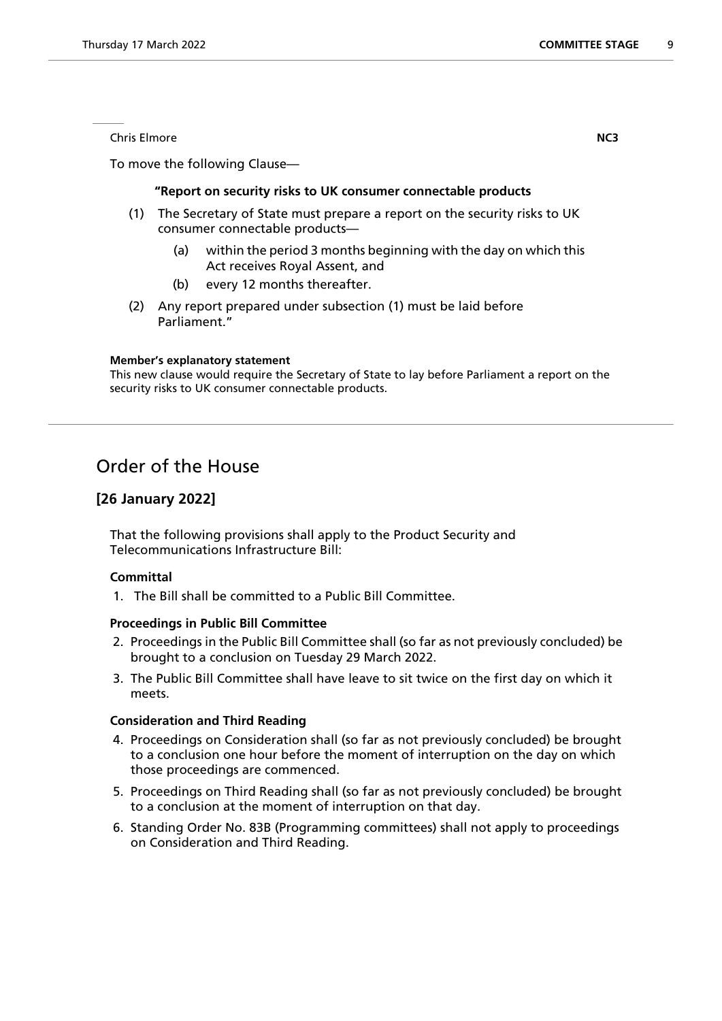**Chris Elmore NC3** 

To move the following Clause—

#### **"Report on security risks to UK consumer connectable products**

- (1) The Secretary of State must prepare a report on the security risks to UK consumer connectable products—
	- (a) within the period 3 months beginning with the day on which this Act receives Royal Assent, and
	- (b) every 12 months thereafter.
- (2) Any report prepared under subsection (1) must be laid before Parliament."

#### **Member's explanatory statement**

This new clause would require the Secretary of State to lay before Parliament a report on the security risks to UK consumer connectable products.

# Order of the House

### **[26 January 2022]**

That the following provisions shall apply to the Product Security and Telecommunications Infrastructure Bill:

#### **Committal**

1. The Bill shall be committed to a Public Bill Committee.

#### **Proceedings in Public Bill Committee**

- 2. Proceedings in the Public Bill Committee shall (so far as not previously concluded) be brought to a conclusion on Tuesday 29 March 2022.
- 3. The Public Bill Committee shall have leave to sit twice on the first day on which it meets.

#### **Consideration and Third Reading**

- 4. Proceedings on Consideration shall (so far as not previously concluded) be brought to a conclusion one hour before the moment of interruption on the day on which those proceedings are commenced.
- 5. Proceedings on Third Reading shall (so far as not previously concluded) be brought to a conclusion at the moment of interruption on that day.
- 6. Standing Order No. 83B (Programming committees) shall not apply to proceedings on Consideration and Third Reading.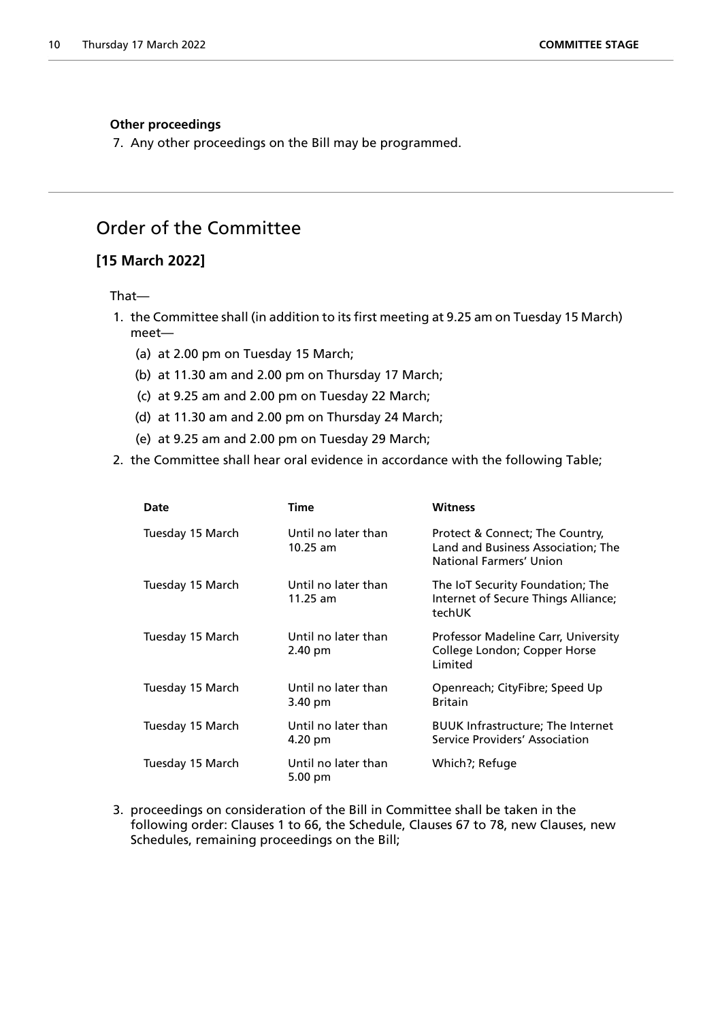#### **Other proceedings**

7. Any other proceedings on the Bill may be programmed.

## Order of the Committee

### **[15 March 2022]**

#### That—

- 1. the Committee shall (in addition to its first meeting at 9.25 am on Tuesday 15 March) meet—
	- (a) at 2.00 pm on Tuesday 15 March;
	- (b) at 11.30 am and 2.00 pm on Thursday 17 March;
	- (c) at 9.25 am and 2.00 pm on Tuesday 22 March;
	- (d) at 11.30 am and 2.00 pm on Thursday 24 March;
	- (e) at 9.25 am and 2.00 pm on Tuesday 29 March;
- 2. the Committee shall hear oral evidence in accordance with the following Table;

| Date             | Time                                     | Witness                                                                                          |
|------------------|------------------------------------------|--------------------------------------------------------------------------------------------------|
| Tuesday 15 March | Until no later than<br>$10.25$ am        | Protect & Connect; The Country,<br>Land and Business Association; The<br>National Farmers' Union |
| Tuesday 15 March | Until no later than<br>$11.25$ am        | The IoT Security Foundation; The<br>Internet of Secure Things Alliance;<br>techUK                |
| Tuesday 15 March | Until no later than<br>2.40 pm           | Professor Madeline Carr, University<br>College London; Copper Horse<br>Limited                   |
| Tuesday 15 March | Until no later than<br>3.40 pm           | Openreach; CityFibre; Speed Up<br><b>Britain</b>                                                 |
| Tuesday 15 March | Until no later than<br>4.20 pm           | <b>BUUK Infrastructure; The Internet</b><br>Service Providers' Association                       |
| Tuesday 15 March | Until no later than<br>$5.00 \text{ pm}$ | Which?; Refuge                                                                                   |

3. proceedings on consideration of the Bill in Committee shall be taken in the following order: Clauses 1 to 66, the Schedule, Clauses 67 to 78, new Clauses, new Schedules, remaining proceedings on the Bill;